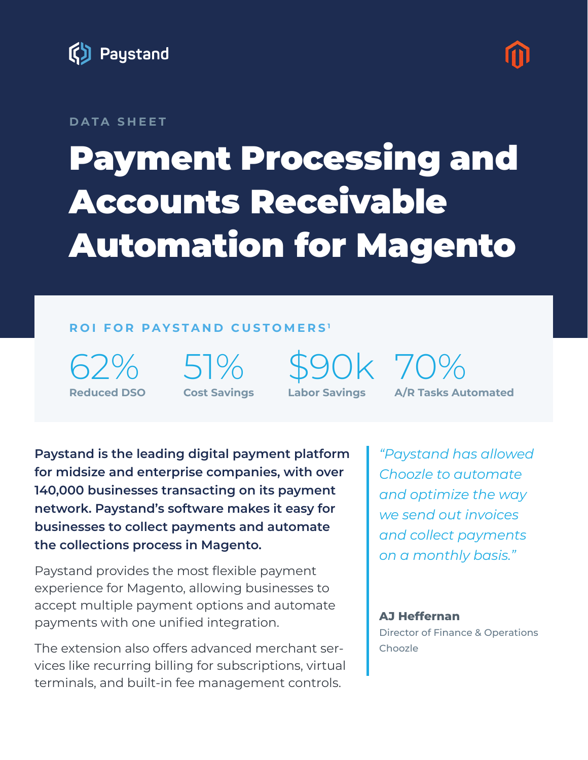



#### **DATA SHEET**

# Payment Processing and Accounts Receivable Automation for Magento

#### **ROI FOR PAYSTAND CUSTOMERS <sup>1</sup>**

 $52%$ **Reduced DSO** 51% **Cost Savings** \$90k 70% **Labor Savings**

**A/R Tasks Automated**

**Paystand is the leading digital payment platform for midsize and enterprise companies, with over 140,000 businesses transacting on its payment network. Paystand's software makes it easy for businesses to collect payments and automate the collections process in Magento.**

Paystand provides the most flexible payment experience for Magento, allowing businesses to accept multiple payment options and automate payments with one unified integration.

The extension also offers advanced merchant services like recurring billing for subscriptions, virtual terminals, and built-in fee management controls.

*"Paystand has allowed Choozle to automate and optimize the way we send out invoices and collect payments on a monthly basis."*

#### **AJ Heffernan**

Director of Finance & Operations Choozle